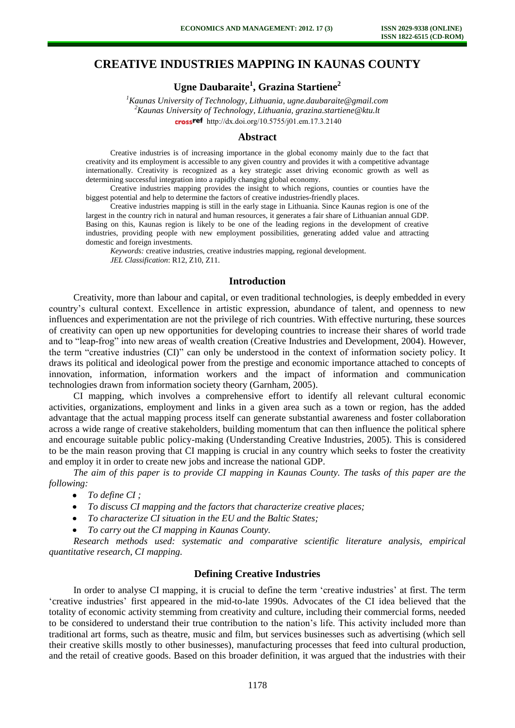# **CREATIVE INDUSTRIES MAPPING IN KAUNAS COUNTY**

**Ugne Daubaraite<sup>1</sup> , Grazina Startiene<sup>2</sup>**

*<sup>1</sup>Kaunas University of Technology, Lithuania, ugne.daubaraite@gmail.com <sup>2</sup>Kaunas University of Technology, Lithuania, grazina.startiene@ktu.lt*  crossref [http://dx.doi.org/10.5755/j01.e](http://dx.doi.org/10.5755/j01.em.17.3.2140)m.17.3.2140

#### **Abstract**

Creative industries is of increasing importance in the global economy mainly due to the fact that creativity and its employment is accessible to any given country and provides it with a competitive advantage internationally. Creativity is recognized as a key strategic asset driving economic growth as well as determining successful integration into a rapidly changing global economy.

Creative industries mapping provides the insight to which regions, counties or counties have the biggest potential and help to determine the factors of creative industries-friendly places.

Creative industries mapping is still in the early stage in Lithuania. Since Kaunas region is one of the largest in the country rich in natural and human resources, it generates a fair share of Lithuanian annual GDP. Basing on this, Kaunas region is likely to be one of the leading regions in the development of creative industries, providing people with new employment possibilities, generating added value and attracting domestic and foreign investments.

*Keywords:* creative industries, creative industries mapping, regional development. *JEL Classification*: R12, Z10, Z11.

## **Introduction**

Creativity, more than labour and capital, or even traditional technologies, is deeply embedded in every country's cultural context. Excellence in artistic expression, abundance of talent, and openness to new influences and experimentation are not the privilege of rich countries. With effective nurturing, these sources of creativity can open up new opportunities for developing countries to increase their shares of world trade and to "leap-frog" into new areas of wealth creation (Creative Industries and Development, 2004). However, the term "creative industries (CI)" can only be understood in the context of information society policy. It draws its political and ideological power from the prestige and economic importance attached to concepts of innovation, information, information workers and the impact of information and communication technologies drawn from information society theory (Garnham, 2005).

CI mapping, which involves a comprehensive effort to identify all relevant cultural economic activities, organizations, employment and links in a given area such as a town or region, has the added advantage that the actual mapping process itself can generate substantial awareness and foster collaboration across a wide range of creative stakeholders, building momentum that can then influence the political sphere and encourage suitable public policy-making (Understanding Creative Industries, 2005). This is considered to be the main reason proving that CI mapping is crucial in any country which seeks to foster the creativity and employ it in order to create new jobs and increase the national GDP.

*The aim of this paper is to provide CI mapping in Kaunas County. The tasks of this paper are the following:* 

- $\bullet$ *To define CI ;*
- *To discuss CI mapping and the factors that characterize creative places;*
- *To characterize CI situation in the EU and the Baltic States;*
- *To carry out the CI mapping in Kaunas County.*

*Research methods used: systematic and comparative scientific literature analysis, empirical quantitative research, CI mapping.* 

# **Defining Creative Industries**

In order to analyse CI mapping, it is crucial to define the term 'creative industries' at first. The term 'creative industries' first appeared in the mid-to-late 1990s. Advocates of the CI idea believed that the totality of economic activity stemming from creativity and culture, including their commercial forms, needed to be considered to understand their true contribution to the nation's life. This activity included more than traditional art forms, such as theatre, music and film, but services businesses such as advertising (which sell their creative skills mostly to other businesses), manufacturing processes that feed into cultural production, and the retail of creative goods. Based on this broader definition, it was argued that the industries with their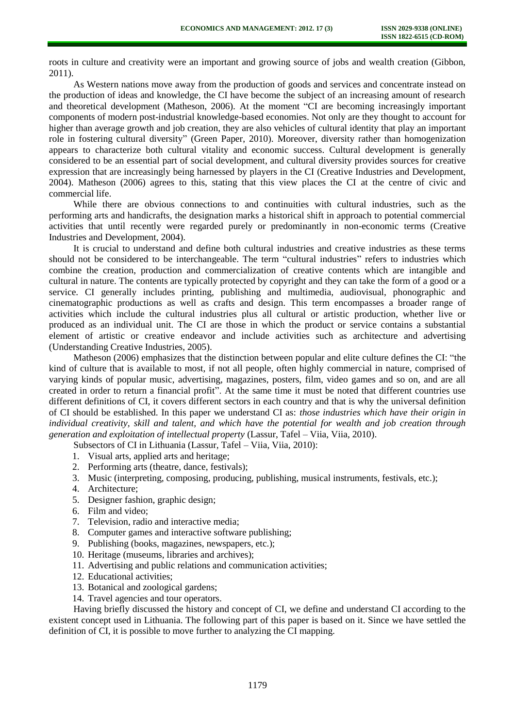roots in culture and creativity were an important and growing source of jobs and wealth creation (Gibbon, 2011).

As Western nations move away from the production of goods and services and concentrate instead on the production of ideas and knowledge, the CI have become the subject of an increasing amount of research and theoretical development (Matheson, 2006). At the moment "CI are becoming increasingly important components of modern post-industrial knowledge-based economies. Not only are they thought to account for higher than average growth and job creation, they are also vehicles of cultural identity that play an important role in fostering cultural diversity" (Green Paper, 2010). Moreover, diversity rather than homogenization appears to characterize both cultural vitality and economic success. Cultural development is generally considered to be an essential part of social development, and cultural diversity provides sources for creative expression that are increasingly being harnessed by players in the CI (Creative Industries and Development, 2004). Matheson (2006) agrees to this, stating that this view places the CI at the centre of civic and commercial life.

While there are obvious connections to and continuities with cultural industries, such as the performing arts and handicrafts, the designation marks a historical shift in approach to potential commercial activities that until recently were regarded purely or predominantly in non-economic terms (Creative Industries and Development, 2004).

It is crucial to understand and define both cultural industries and creative industries as these terms should not be considered to be interchangeable. The term "cultural industries" refers to industries which combine the creation, production and commercialization of creative contents which are intangible and cultural in nature. The contents are typically protected by copyright and they can take the form of a good or a service. CI generally includes printing, publishing and multimedia, audiovisual, phonographic and cinematographic productions as well as crafts and design. This term encompasses a broader range of activities which include the cultural industries plus all cultural or artistic production, whether live or produced as an individual unit. The CI are those in which the product or service contains a substantial element of artistic or creative endeavor and include activities such as architecture and advertising (Understanding Creative Industries, 2005).

Matheson (2006) emphasizes that the distinction between popular and elite culture defines the CI: "the kind of culture that is available to most, if not all people, often highly commercial in nature, comprised of varying kinds of popular music, advertising, magazines, posters, film, video games and so on, and are all created in order to return a financial profit". At the same time it must be noted that different countries use different definitions of CI, it covers different sectors in each country and that is why the universal definition of CI should be established. In this paper we understand CI as: *those industries which have their origin in individual creativity, skill and talent, and which have the potential for wealth and job creation through generation and exploitation of intellectual property* (Lassur, Tafel – Viia, Viia, 2010).

Subsectors of CI in Lithuania (Lassur, Tafel – Viia, Viia, 2010):

- 1. Visual arts, applied arts and heritage;
- 2. Performing arts (theatre, dance, festivals);
- 3. Music (interpreting, composing, producing, publishing, musical instruments, festivals, etc.);
- 4. Architecture;
- 5. Designer fashion, graphic design;
- 6. Film and video;
- 7. Television, radio and interactive media;
- 8. Computer games and interactive software publishing;
- 9. Publishing (books, magazines, newspapers, etc.);
- 10. Heritage (museums, libraries and archives);
- 11. Advertising and public relations and communication activities;
- 12. Educational activities;
- 13. Botanical and zoological gardens;
- 14. Travel agencies and tour operators.

Having briefly discussed the history and concept of CI, we define and understand CI according to the existent concept used in Lithuania. The following part of this paper is based on it. Since we have settled the definition of CI, it is possible to move further to analyzing the CI mapping.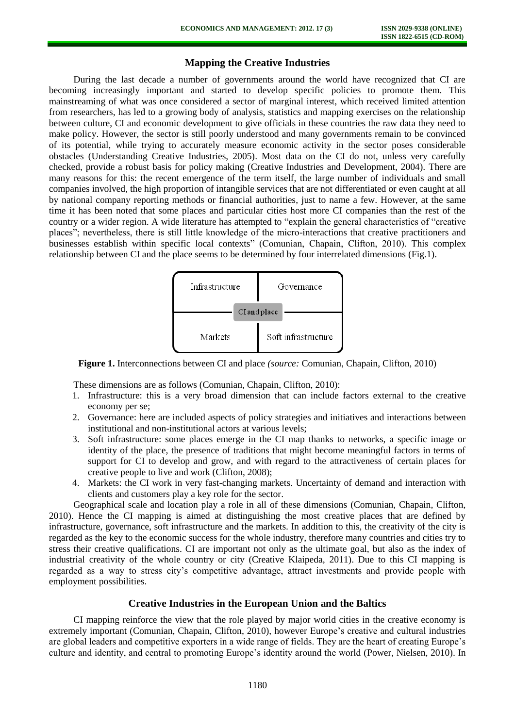# **Mapping the Creative Industries**

During the last decade a number of governments around the world have recognized that CI are becoming increasingly important and started to develop specific policies to promote them. This mainstreaming of what was once considered a sector of marginal interest, which received limited attention from researchers, has led to a growing body of analysis, statistics and mapping exercises on the relationship between culture, CI and economic development to give officials in these countries the raw data they need to make policy. However, the sector is still poorly understood and many governments remain to be convinced of its potential, while trying to accurately measure economic activity in the sector poses considerable obstacles (Understanding Creative Industries, 2005). Most data on the CI do not, unless very carefully checked, provide a robust basis for policy making (Creative Industries and Development, 2004). There are many reasons for this: the recent emergence of the term itself, the large number of individuals and small companies involved, the high proportion of intangible services that are not differentiated or even caught at all by national company reporting methods or financial authorities, just to name a few. However, at the same time it has been noted that some places and particular cities host more CI companies than the rest of the country or a wider region. A wide literature has attempted to "explain the general characteristics of "creative places"; nevertheless, there is still little knowledge of the micro-interactions that creative practitioners and businesses establish within specific local contexts" (Comunian, Chapain, Clifton, 2010). This complex relationship between CI and the place seems to be determined by four interrelated dimensions (Fig.1).



**Figure 1.** Interconnections between CI and place *(source:* Comunian, Chapain, Clifton, 2010)

These dimensions are as follows (Comunian, Chapain, Clifton, 2010):

- 1. Infrastructure: this is a very broad dimension that can include factors external to the creative economy per se;
- 2. Governance: here are included aspects of policy strategies and initiatives and interactions between institutional and non-institutional actors at various levels;
- 3. Soft infrastructure: some places emerge in the CI map thanks to networks, a specific image or identity of the place, the presence of traditions that might become meaningful factors in terms of support for CI to develop and grow, and with regard to the attractiveness of certain places for creative people to live and work (Clifton, 2008);
- 4. Markets: the CI work in very fast-changing markets. Uncertainty of demand and interaction with clients and customers play a key role for the sector.

Geographical scale and location play a role in all of these dimensions (Comunian, Chapain, Clifton, 2010). Hence the CI mapping is aimed at distinguishing the most creative places that are defined by infrastructure, governance, soft infrastructure and the markets. In addition to this, the creativity of the city is regarded as the key to the economic success for the whole industry, therefore many countries and cities try to stress their creative qualifications. CI are important not only as the ultimate goal, but also as the index of industrial creativity of the whole country or city (Creative Klaipeda, 2011). Due to this CI mapping is regarded as a way to stress city's competitive advantage, attract investments and provide people with employment possibilities.

#### **Creative Industries in the European Union and the Baltics**

CI mapping reinforce the view that the role played by major world cities in the creative economy is extremely important (Comunian, Chapain, Clifton, 2010), however Europe's creative and cultural industries are global leaders and competitive exporters in a wide range of fields. They are the heart of creating Europe's culture and identity, and central to promoting Europe's identity around the world (Power, Nielsen, 2010). In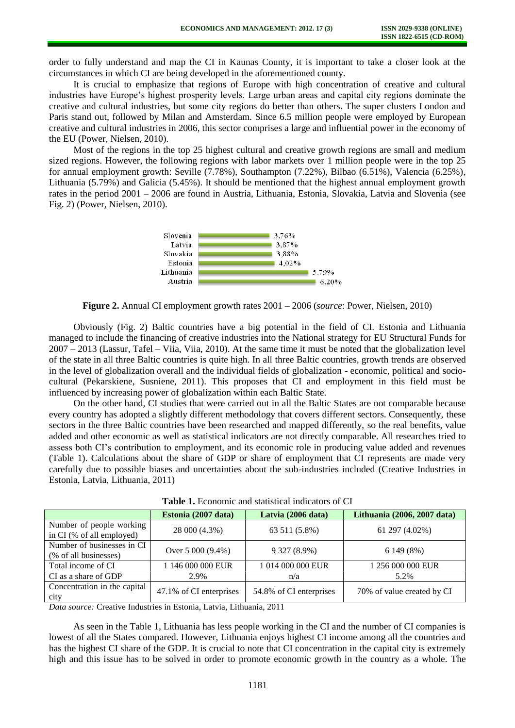order to fully understand and map the CI in Kaunas County, it is important to take a closer look at the circumstances in which CI are being developed in the aforementioned county.

It is crucial to emphasize that regions of Europe with high concentration of creative and cultural industries have Europe's highest prosperity levels. Large urban areas and capital city regions dominate the creative and cultural industries, but some city regions do better than others. The super clusters London and Paris stand out, followed by Milan and Amsterdam. Since 6.5 million people were employed by European creative and cultural industries in 2006, this sector comprises a large and influential power in the economy of the EU (Power, Nielsen, 2010).

Most of the regions in the top 25 highest cultural and creative growth regions are small and medium sized regions. However, the following regions with labor markets over 1 million people were in the top 25 for annual employment growth: Seville (7.78%), Southampton (7.22%), Bilbao (6.51%), Valencia (6.25%), Lithuania (5.79%) and Galicia (5.45%). It should be mentioned that the highest annual employment growth rates in the period 2001 – 2006 are found in Austria, Lithuania, Estonia, Slovakia, Latvia and Slovenia (see Fig. 2) (Power, Nielsen, 2010).



**Figure 2.** Annual CI employment growth rates 2001 – 2006 (*source*: Power, Nielsen, 2010)

Obviously (Fig. 2) Baltic countries have a big potential in the field of CI. Estonia and Lithuania managed to include the financing of creative industries into the National strategy for EU Structural Funds for 2007 – 2013 (Lassur, Tafel – Viia, Viia, 2010). At the same time it must be noted that the globalization level of the state in all three Baltic countries is quite high. In all three Baltic countries, growth trends are observed in the level of globalization overall and the individual fields of globalization - economic, political and sociocultural (Pekarskiene, Susniene, 2011). This proposes that CI and employment in this field must be influenced by increasing power of globalization within each Baltic State.

On the other hand, CI studies that were carried out in all the Baltic States are not comparable because every country has adopted a slightly different methodology that covers different sectors. Consequently, these sectors in the three Baltic countries have been researched and mapped differently, so the real benefits, value added and other economic as well as statistical indicators are not directly comparable. All researches tried to assess both CI's contribution to employment, and its economic role in producing value added and revenues (Table 1). Calculations about the share of GDP or share of employment that CI represents are made very carefully due to possible biases and uncertainties about the sub-industries included (Creative Industries in Estonia, Latvia, Lithuania, 2011)

|                                                       | Estonia (2007 data)     | Latvia (2006 data)      | Lithuania (2006, 2007 data) |  |  |  |  |
|-------------------------------------------------------|-------------------------|-------------------------|-----------------------------|--|--|--|--|
| Number of people working<br>in CI (% of all employed) | 28 000 (4.3%)           | 63 511 (5.8%)           | 61 297 (4.02%)              |  |  |  |  |
| Number of businesses in CI<br>(% of all businesses)   | Over $5000(9.4\%)$      | 9 327 (8.9%)            | 6 149 (8%)                  |  |  |  |  |
| Total income of CI                                    | 1 146 000 000 EUR       | 1 014 000 000 EUR       | 1 256 000 000 EUR           |  |  |  |  |
| CI as a share of GDP                                  | 2.9%                    | n/a                     | 5.2%                        |  |  |  |  |
| Concentration in the capital<br>city                  | 47.1% of CI enterprises | 54.8% of CI enterprises | 70% of value created by CI  |  |  |  |  |

| <b>Table 1.</b> Economic and statistical indicators of CI |  |  |  |
|-----------------------------------------------------------|--|--|--|
|-----------------------------------------------------------|--|--|--|

*Data source:* Creative Industries in Estonia, Latvia, Lithuania, 2011

As seen in the Table 1, Lithuania has less people working in the CI and the number of CI companies is lowest of all the States compared. However, Lithuania enjoys highest CI income among all the countries and has the highest CI share of the GDP. It is crucial to note that CI concentration in the capital city is extremely high and this issue has to be solved in order to promote economic growth in the country as a whole. The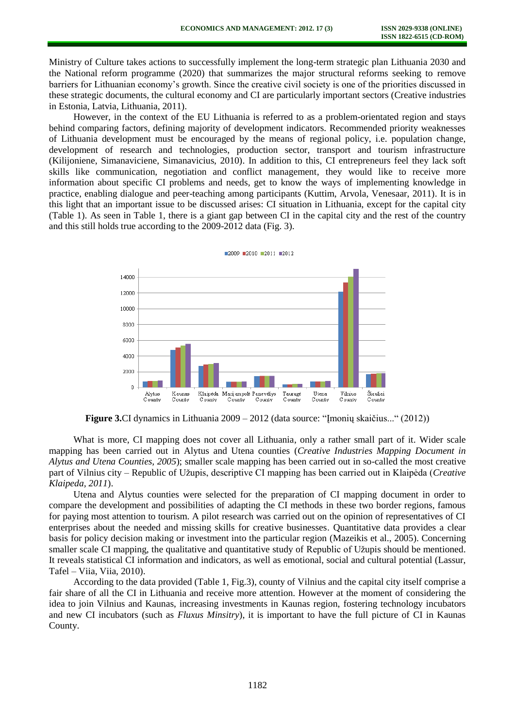Ministry of Culture takes actions to successfully implement the long-term strategic plan Lithuania 2030 and the National reform programme (2020) that summarizes the major structural reforms seeking to remove barriers for Lithuanian economy's growth. Since the creative civil society is one of the priorities discussed in these strategic documents, the cultural economy and CI are particularly important sectors (Creative industries in Estonia, Latvia, Lithuania, 2011).

However, in the context of the EU Lithuania is referred to as a problem-orientated region and stays behind comparing factors, defining majority of development indicators. Recommended priority weaknesses of Lithuania development must be encouraged by the means of regional policy, i.e. population change, development of research and technologies, production sector, transport and tourism infrastructure (Kilijoniene, Simanaviciene, Simanavicius, 2010). In addition to this, CI entrepreneurs feel they lack soft skills like communication, negotiation and conflict management, they would like to receive more information about specific CI problems and needs, get to know the ways of implementing knowledge in practice, enabling dialogue and peer-teaching among participants (Kuttim, Arvola, Venesaar, 2011). It is in this light that an important issue to be discussed arises: CI situation in Lithuania, except for the capital city (Table 1). As seen in Table 1, there is a giant gap between CI in the capital city and the rest of the country and this still holds true according to the 2009-2012 data (Fig. 3).



**Figure 3.**CI dynamics in Lithuania 2009 – 2012 (data source: "Imonių skaičius..." (2012))

What is more, CI mapping does not cover all Lithuania, only a rather small part of it. Wider scale mapping has been carried out in Alytus and Utena counties (*Creative Industries Mapping Document in Alytus and Utena Counties, 2005*); smaller scale mapping has been carried out in so-called the most creative part of Vilnius city – Republic of Užupis, descriptive CI mapping has been carried out in Klaipėda (*Creative Klaipeda, 2011*).

Utena and Alytus counties were selected for the preparation of CI mapping document in order to compare the development and possibilities of adapting the CI methods in these two border regions, famous for paying most attention to tourism. A pilot research was carried out on the opinion of representatives of CI enterprises about the needed and missing skills for creative businesses. Quantitative data provides a clear basis for policy decision making or investment into the particular region (Mazeikis et al., 2005). Concerning smaller scale CI mapping, the qualitative and quantitative study of Republic of Užupis should be mentioned. It reveals statistical CI information and indicators, as well as emotional, social and cultural potential (Lassur, Tafel – Viia, Viia, 2010).

According to the data provided (Table 1, Fig.3), county of Vilnius and the capital city itself comprise a fair share of all the CI in Lithuania and receive more attention. However at the moment of considering the idea to join Vilnius and Kaunas, increasing investments in Kaunas region, fostering technology incubators and new CI incubators (such as *Fluxus Minsitry*), it is important to have the full picture of CI in Kaunas County.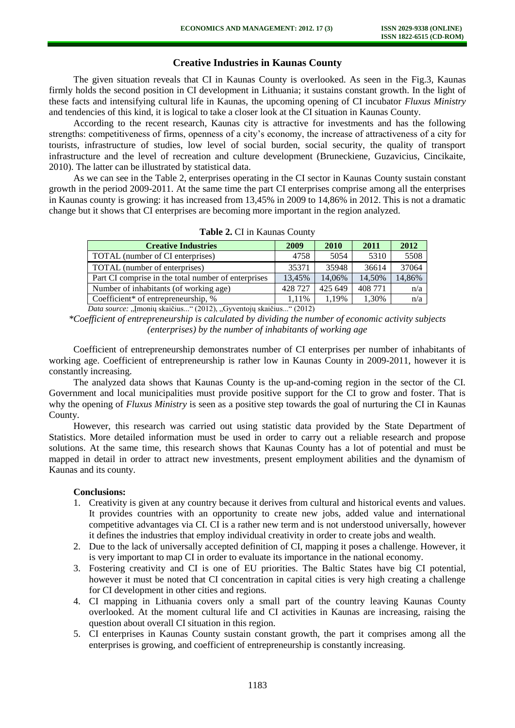# **Creative Industries in Kaunas County**

The given situation reveals that CI in Kaunas County is overlooked. As seen in the Fig.3, Kaunas firmly holds the second position in CI development in Lithuania; it sustains constant growth. In the light of these facts and intensifying cultural life in Kaunas, the upcoming opening of CI incubator *Fluxus Ministry* and tendencies of this kind, it is logical to take a closer look at the CI situation in Kaunas County.

According to the recent research, Kaunas city is attractive for investments and has the following strengths: competitiveness of firms, openness of a city's economy, the increase of attractiveness of a city for tourists, infrastructure of studies, low level of social burden, social security, the quality of transport infrastructure and the level of recreation and culture development (Bruneckiene, Guzavicius, Cincikaite, 2010). The latter can be illustrated by statistical data.

As we can see in the Table 2, enterprises operating in the CI sector in Kaunas County sustain constant growth in the period 2009-2011. At the same time the part CI enterprises comprise among all the enterprises in Kaunas county is growing: it has increased from 13,45% in 2009 to 14,86% in 2012. This is not a dramatic change but it shows that CI enterprises are becoming more important in the region analyzed.

| <b>Creative Industries</b>                                                | 2009    | 2010    | 2011    | 2012   |  |  |
|---------------------------------------------------------------------------|---------|---------|---------|--------|--|--|
| TOTAL (number of CI enterprises)                                          | 4758    | 5054    | 5310    | 5508   |  |  |
| TOTAL (number of enterprises)                                             | 35371   | 35948   | 36614   | 37064  |  |  |
| Part CI comprise in the total number of enterprises                       | 13.45%  | 14.06%  | 14,50%  | 14,86% |  |  |
| Number of inhabitants (of working age)                                    | 428 727 | 425 649 | 408 771 | n/a    |  |  |
| Coefficient* of entrepreneurship, $%$                                     | 1.11%   | 1.19%   | 1,30%   | n/a    |  |  |
| $D_{\text{at}}$ counse Imagin algising "(2012) Cryontain algising "(2012) |         |         |         |        |  |  |

**Table 2.** CI in Kaunas County

*Data source:* "Įmonių skaičius..." (2012), "Gyventojų skaičius..." (2012)

Coefficient of entrepreneurship demonstrates number of CI enterprises per number of inhabitants of working age. Coefficient of entrepreneurship is rather low in Kaunas County in 2009-2011, however it is constantly increasing.

The analyzed data shows that Kaunas County is the up-and-coming region in the sector of the CI. Government and local municipalities must provide positive support for the CI to grow and foster. That is why the opening of *Fluxus Ministry* is seen as a positive step towards the goal of nurturing the CI in Kaunas County.

However, this research was carried out using statistic data provided by the State Department of Statistics. More detailed information must be used in order to carry out a reliable research and propose solutions. At the same time, this research shows that Kaunas County has a lot of potential and must be mapped in detail in order to attract new investments, present employment abilities and the dynamism of Kaunas and its county.

#### **Conclusions:**

- 1. Creativity is given at any country because it derives from cultural and historical events and values. It provides countries with an opportunity to create new jobs, added value and international competitive advantages via CI. CI is a rather new term and is not understood universally, however it defines the industries that employ individual creativity in order to create jobs and wealth.
- 2. Due to the lack of universally accepted definition of CI, mapping it poses a challenge. However, it is very important to map CI in order to evaluate its importance in the national economy.
- 3. Fostering creativity and CI is one of EU priorities. The Baltic States have big CI potential, however it must be noted that CI concentration in capital cities is very high creating a challenge for CI development in other cities and regions.
- 4. CI mapping in Lithuania covers only a small part of the country leaving Kaunas County overlooked. At the moment cultural life and CI activities in Kaunas are increasing, raising the question about overall CI situation in this region.
- 5. CI enterprises in Kaunas County sustain constant growth, the part it comprises among all the enterprises is growing, and coefficient of entrepreneurship is constantly increasing.

*<sup>\*</sup>Coefficient of entrepreneurship is calculated by dividing the number of economic activity subjects (enterprises) by the number of inhabitants of working age*